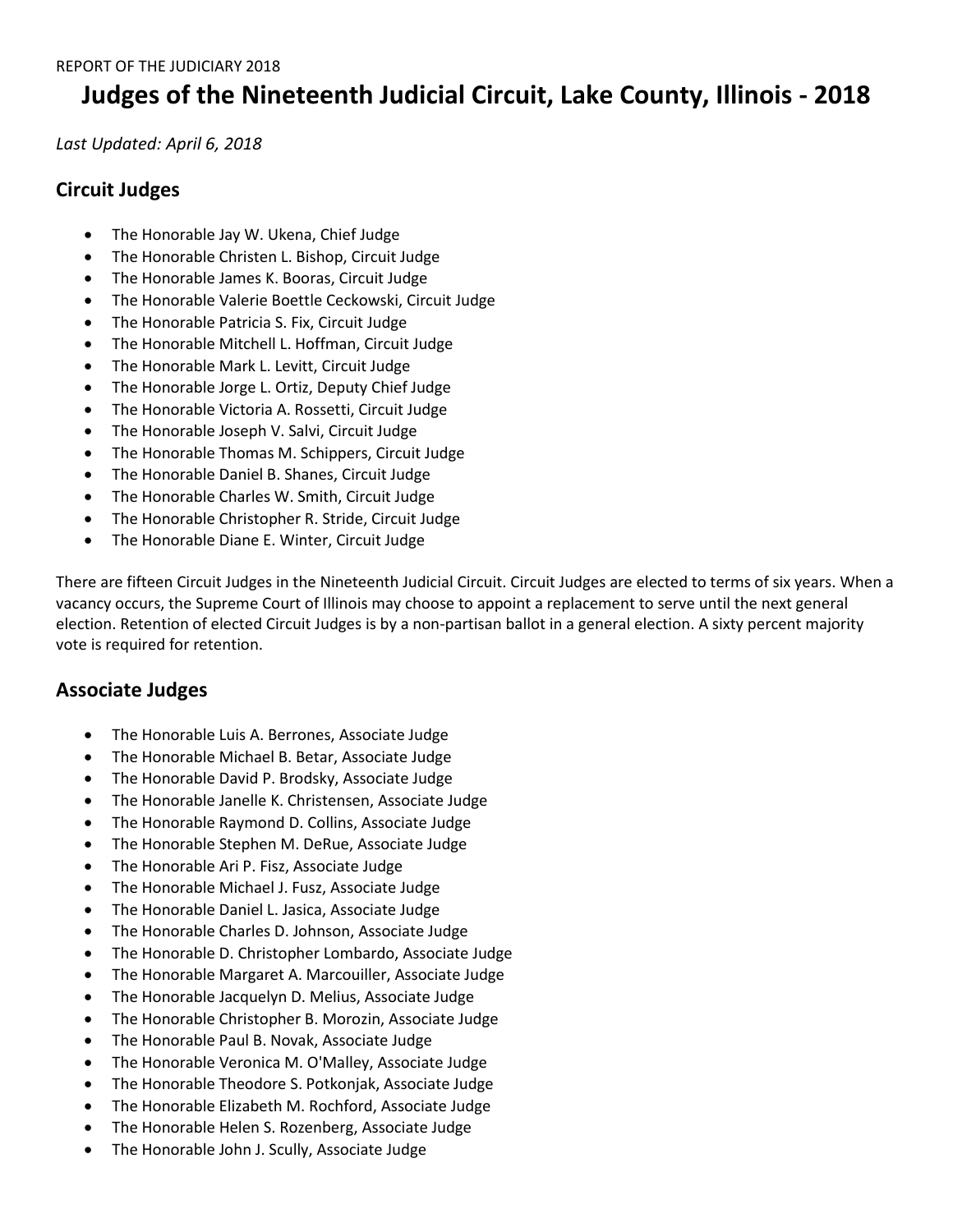## **Judges of the Nineteenth Judicial Circuit, Lake County, Illinois - 2018**

*Last Updated: April 6, 2018*

## **Circuit Judges**

- The Honorable Jay W. Ukena, Chief Judge
- The Honorable Christen L. Bishop, Circuit Judge
- The Honorable James K. Booras, Circuit Judge
- The Honorable Valerie Boettle Ceckowski, Circuit Judge
- The Honorable Patricia S. Fix, Circuit Judge
- The Honorable Mitchell L. Hoffman, Circuit Judge
- The Honorable Mark L. Levitt, Circuit Judge
- The Honorable Jorge L. Ortiz, Deputy Chief Judge
- The Honorable Victoria A. Rossetti, Circuit Judge
- The Honorable Joseph V. Salvi, Circuit Judge
- The Honorable Thomas M. Schippers, Circuit Judge
- The Honorable Daniel B. Shanes, Circuit Judge
- The Honorable Charles W. Smith, Circuit Judge
- The Honorable Christopher R. Stride, Circuit Judge
- The Honorable Diane E. Winter, Circuit Judge

There are fifteen Circuit Judges in the Nineteenth Judicial Circuit. Circuit Judges are elected to terms of six years. When a vacancy occurs, the Supreme Court of Illinois may choose to appoint a replacement to serve until the next general election. Retention of elected Circuit Judges is by a non-partisan ballot in a general election. A sixty percent majority vote is required for retention.

## **Associate Judges**

- The Honorable Luis A. Berrones, Associate Judge
- The Honorable Michael B. Betar, Associate Judge
- The Honorable David P. Brodsky, Associate Judge
- The Honorable Janelle K. Christensen, Associate Judge
- The Honorable Raymond D. Collins, Associate Judge
- The Honorable Stephen M. DeRue, Associate Judge
- The Honorable Ari P. Fisz, Associate Judge
- The Honorable Michael J. Fusz, Associate Judge
- The Honorable Daniel L. Jasica, Associate Judge
- The Honorable Charles D. Johnson, Associate Judge
- The Honorable D. Christopher Lombardo, Associate Judge
- The Honorable Margaret A. Marcouiller, Associate Judge
- The Honorable Jacquelyn D. Melius, Associate Judge
- The Honorable Christopher B. Morozin, Associate Judge
- The Honorable Paul B. Novak, Associate Judge
- The Honorable Veronica M. O'Malley, Associate Judge
- The Honorable Theodore S. Potkonjak, Associate Judge
- The Honorable Elizabeth M. Rochford, Associate Judge
- The Honorable Helen S. Rozenberg, Associate Judge
- The Honorable John J. Scully, Associate Judge